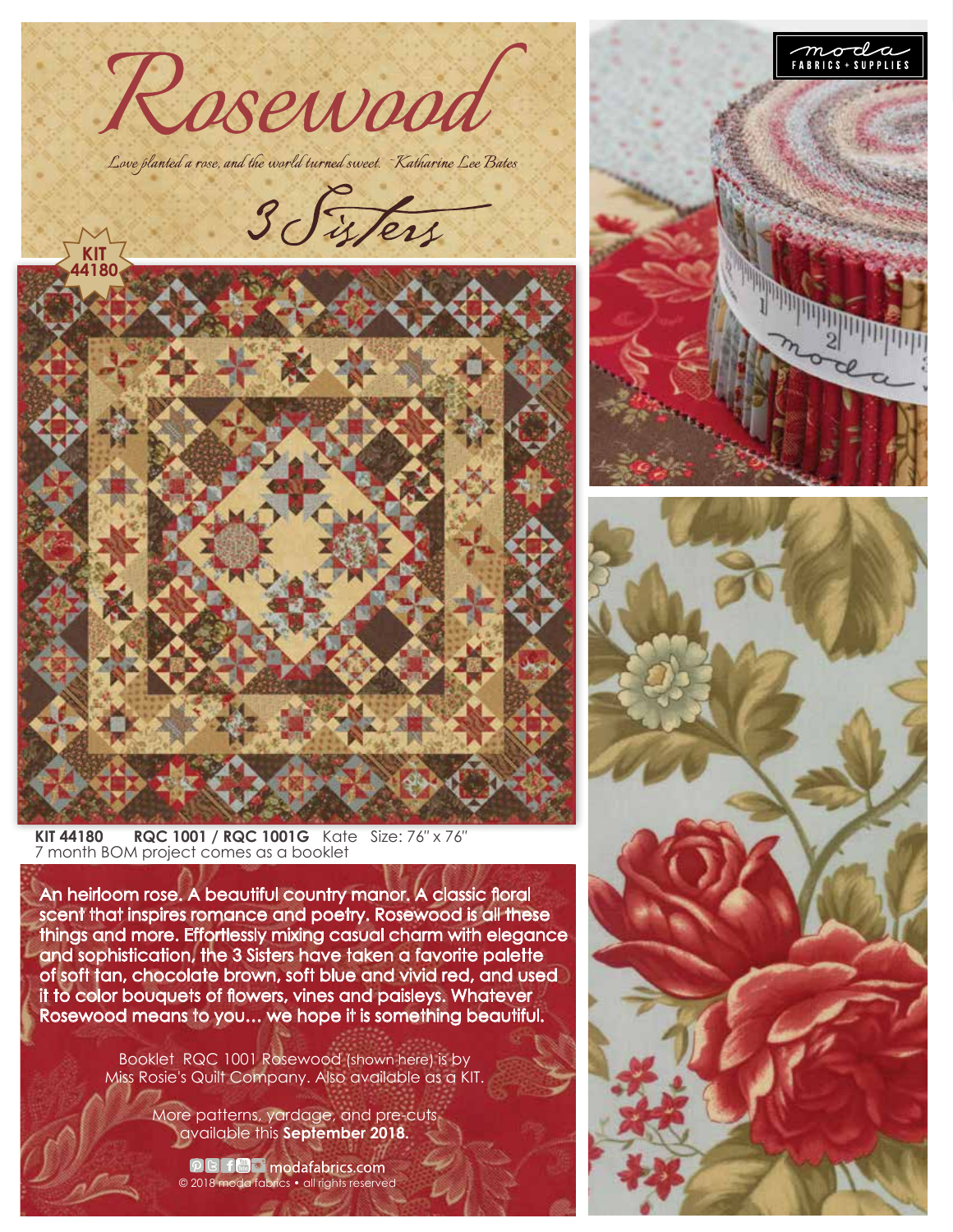

**KIT 44180 RQC 1001 / RQC 1001G** Kate Size: 76″ x 76″ 7 month BOM project comes as a booklet

An heirloom rose. A beautiful country manor. A classic floral scent that inspires romance and poetry. Rosewood is all these things and more. Effortlessly mixing casual charm with elegance and sophistication, the 3 Sisters have taken a favorite palette of soft tan, chocolate brown, soft blue and vivid red, and used it to color bouquets of flowers, vines and paisleys. Whatever Rosewood means to you… we hope it is something beautiful.

> Booklet RQC 1001 Rosewood (shown here) is by Miss Rosie's Quilt Company. Also available as a KIT.

> > More patterns, yardage, and pre-cuts available this **September 2018.**

**O B for modafabrics.com**<br>© 2018 moda fabrics • all rights reserved



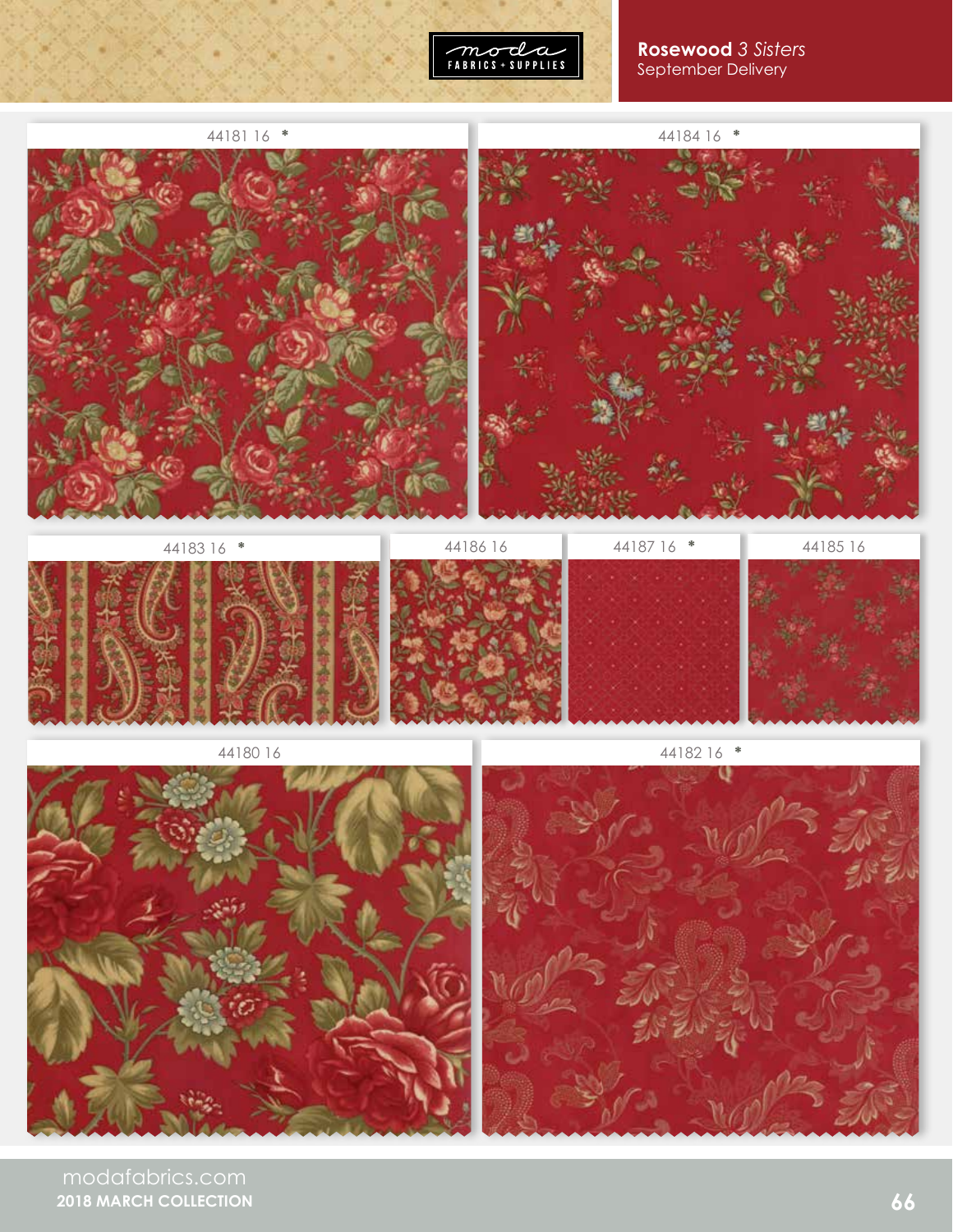

## **Rosewood** *3 Sisters* September Delivery



modafabrics.com **2018 MARCH COLLECTION**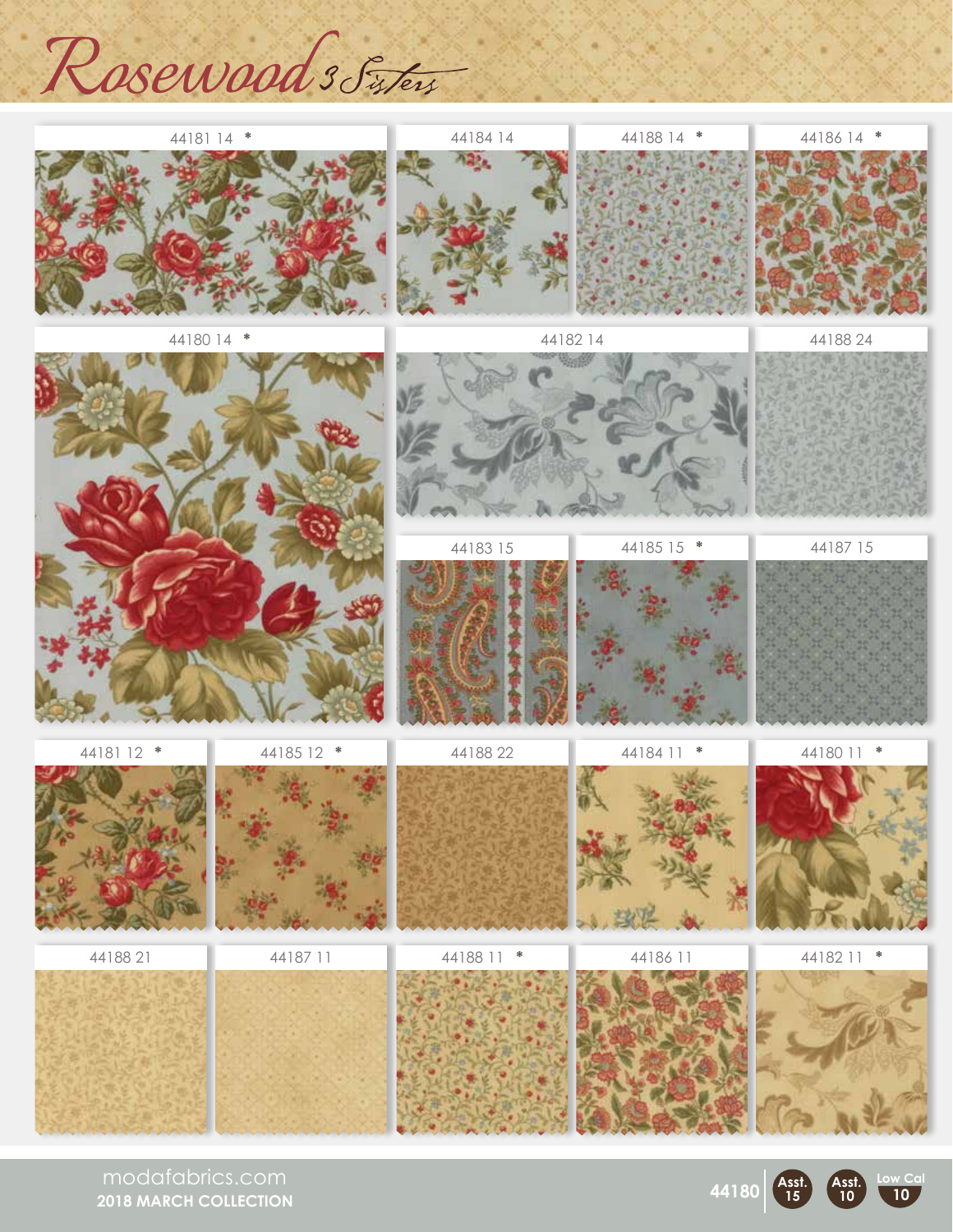Rosewoods Sister



modafabrics.com **2018 MARCH COLLECTION**



**Asst. 10**

**Low Cal 10**